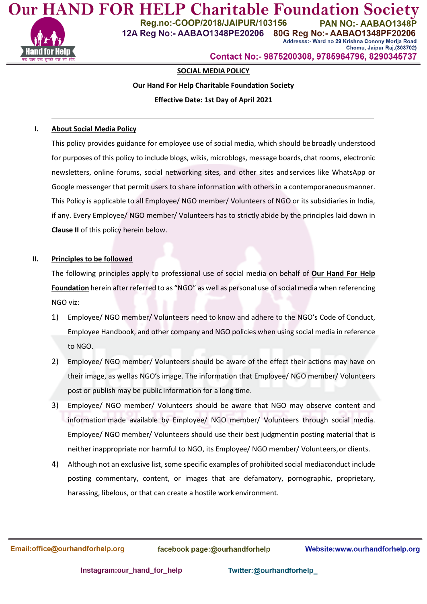

**Our HAND FOR HELP Charitable Foundation Socie** Reg.no:-COOP/2018/JAIPUR/103156 **PAN NO:- AA** 12A Reg No:- AABAO1348PE20206 80G Reg No:- AABAO1348PF20206 Addresss:- Ward no 29 Krishna Conony Morija Road

Chomu, Jaipur Raj.(303702) Contact No:- 9875200308, 9785964796, 8290345737

# **SOCIAL MEDIAPOLICY**

## **Our Hand For Help Charitable Foundation Society**

### **Effective Date: 1st Day of April 2021**

### **I. About Social Media Policy**

This policy provides guidance for employee use of social media, which should be broadly understood for purposes of this policy to include blogs, wikis, microblogs, message boards, chat rooms, electronic newsletters, online forums, social networking sites, and other sites andservices like WhatsApp or Google messenger that permit users to share information with others in a contemporaneousmanner. This Policy is applicable to all Employee/ NGO member/ Volunteers of NGO or its subsidiaries in India, if any. Every Employee/ NGO member/ Volunteers has to strictly abide by the principles laid down in **Clause II** of this policy herein below.

#### **II. Principles to be followed**

The following principles apply to professional use of social media on behalf of **Our Hand For Help Foundation** herein after referred to as "NGO" as well as personal use of social media when referencing NGO viz:

- 1) Employee/ NGO member/ Volunteers need to know and adhere to the NGO's Code of Conduct, Employee Handbook, and other company and NGO policies when using social media in reference to NGO.
- 2) Employee/ NGO member/ Volunteers should be aware of the effect their actions may have on their image, as wellas NGO's image. The information that Employee/ NGO member/ Volunteers post or publish may be public information for a long time.
- 3) Employee/ NGO member/ Volunteers should be aware that NGO may observe content and information made available by Employee/ NGO member/ Volunteers through social media. Employee/ NGO member/ Volunteers should use their best judgmentin posting material that is neither inappropriate nor harmful to NGO, its Employee/ NGO member/ Volunteers,or clients.
- 4) Although not an exclusive list, some specific examples of prohibited social mediaconduct include posting commentary, content, or images that are defamatory, pornographic, proprietary, harassing, libelous, or that can create a hostile work environment.

Email:office@ourhandforhelp.org

facebook page:@ourhandforhelp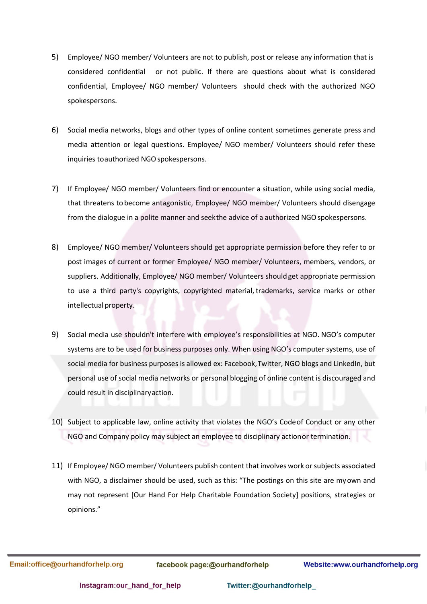- 5) Employee/ NGO member/ Volunteers are not to publish, post or release any information that is considered confidential or not public. If there are questions about what is considered confidential, Employee/ NGO member/ Volunteers should check with the authorized NGO spokespersons.
- 6) Social media networks, blogs and other types of online content sometimes generate press and media attention or legal questions. Employee/ NGO member/ Volunteers should refer these inquiries toauthorized NGO spokespersons.
- 7) If Employee/ NGO member/ Volunteers find or encounter a situation, while using social media, that threatens tobecome antagonistic, Employee/ NGO member/ Volunteers should disengage from the dialogue in a polite manner and seekthe advice of a authorized NGO spokespersons.
- 8) Employee/ NGO member/ Volunteers should get appropriate permission before they refer to or post images of current or former Employee/ NGO member/ Volunteers, members, vendors, or suppliers. Additionally, Employee/ NGO member/ Volunteers should get appropriate permission to use a third party's copyrights, copyrighted material, trademarks, service marks or other intellectual property.
- 9) Social media use shouldn't interfere with employee's responsibilities at NGO. NGO's computer systems are to be used for business purposes only. When using NGO's computer systems, use of social media for business purposes is allowed ex: Facebook,Twitter, NGO blogs and LinkedIn, but personal use of social media networks or personal blogging of online content is discouraged and could result in disciplinaryaction.
- 10) Subject to applicable law, online activity that violates the NGO's Codeof Conduct or any other NGO and Company policy may subject an employee to disciplinary actionor termination.
- 11) If Employee/ NGO member/ Volunteers publish content that involves work or subjects associated with NGO, a disclaimer should be used, such as this: "The postings on this site are myown and may not represent [Our Hand For Help Charitable Foundation Society] positions, strategies or opinions."